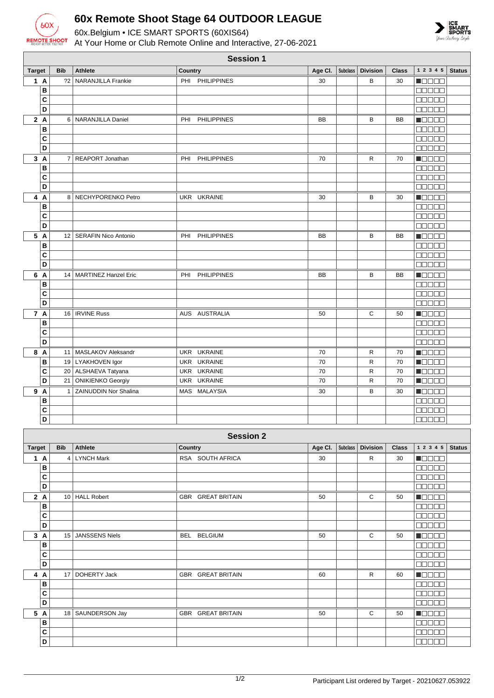

**B C D**

**B C D**

## **60x Remote Shoot Stage 64 OUTDOOR LEAGUE**

60x.Belgium • ICE SMART SPORTS (60XIS64) At Your Home or Club Remote Online and Interactive, 27-06-2021



| <b>Session 1</b>        |            |                           |                |                    |           |                 |                 |              |                                                             |               |
|-------------------------|------------|---------------------------|----------------|--------------------|-----------|-----------------|-----------------|--------------|-------------------------------------------------------------|---------------|
| <b>Target</b>           | <b>Bib</b> | <b>Athlete</b>            | Country        |                    | Age CI.   | <b>Subclass</b> | <b>Division</b> | <b>Class</b> | $1\ 2\ 3\ 4\ 5$                                             | <b>Status</b> |
| 1 A                     |            | ?2   NARANJILLA Frankie   |                | PHI PHILIPPINES    | 30        |                 | В               | 30           | N E E E E                                                   |               |
| B                       |            |                           |                |                    |           |                 |                 |              | 88888                                                       |               |
| C                       |            |                           |                |                    |           |                 |                 |              | anana                                                       |               |
| D                       |            |                           |                |                    |           |                 |                 |              | an an a                                                     |               |
| 2A                      |            | 6 NARANJILLA Daniel       | PHI            | <b>PHILIPPINES</b> | <b>BB</b> |                 | B               | <b>BB</b>    | n da da                                                     |               |
| B                       |            |                           |                |                    |           |                 |                 |              | anaan                                                       |               |
| $\mathbf{C}$            |            |                           |                |                    |           |                 |                 |              | Maaan                                                       |               |
| D                       |            |                           |                |                    |           |                 |                 |              | anaan                                                       |               |
| 3A                      |            | 7 REAPORT Jonathan        | PHI            | PHILIPPINES        | 70        |                 | R               | 70           | M O O O O                                                   |               |
| B                       |            |                           |                |                    |           |                 |                 |              | 88888                                                       |               |
| C                       |            |                           |                |                    |           |                 |                 |              | <b>OOOOO</b>                                                |               |
| D                       |            |                           |                |                    |           |                 |                 |              | ana an                                                      |               |
| 4 A                     |            | 8 NECHYPORENKO Petro      |                | UKR UKRAINE        | 30        |                 | B               | 30           | ME E E E                                                    |               |
| B                       |            |                           |                |                    |           |                 |                 |              | a a a a a                                                   |               |
| $\mathbf c$             |            |                           |                |                    |           |                 |                 |              | <b>ROBOT</b>                                                |               |
| D                       |            |                           |                |                    |           |                 |                 |              | 88888                                                       |               |
| 5 A                     |            | 12   SERAFIN Nico Antonio | PHI            | <b>PHILIPPINES</b> | BB        |                 | В               | BB           | <b>Madaa</b>                                                |               |
| B                       |            |                           |                |                    |           |                 |                 |              | <b>MANAE</b>                                                |               |
| $\mathbf{C}$            |            |                           |                |                    |           |                 |                 |              | ooooo                                                       |               |
| D                       |            |                           |                |                    |           |                 |                 |              | anana                                                       |               |
| 6 A                     |            | 14   MARTINEZ Hanzel Eric | PHI            | <b>PHILIPPINES</b> | BB        |                 | В               | BB           | n 800a                                                      |               |
| в                       |            |                           |                |                    |           |                 |                 |              | 00000                                                       |               |
| C                       |            |                           |                |                    |           |                 |                 |              | 88888                                                       |               |
| $\overline{D}$          |            |                           |                |                    |           |                 |                 |              | MA U U U                                                    |               |
| 7 A                     |            | 16   IRVINE Russ          |                | AUS AUSTRALIA      | 50        |                 | C               | 50           | N BE BE                                                     |               |
| B                       |            |                           |                |                    |           |                 |                 |              | $\blacksquare$ $\blacksquare$ $\blacksquare$ $\blacksquare$ |               |
| C                       |            |                           |                |                    |           |                 |                 |              | <b>THE FE</b>                                               |               |
| D                       |            |                           |                |                    |           |                 |                 |              | <b>NOBOO</b>                                                |               |
| 8 A                     |            | 11   MASLAKOV Aleksandr   |                | UKR UKRAINE        | 70        |                 | R               | 70           | Maaaa                                                       |               |
| B                       |            | 19   LYAKHOVEN Igor       |                | UKR UKRAINE        | 70        |                 | R               | 70           | N BELE                                                      |               |
| C                       |            | 20 ALSHAEVA Tatyana       |                | UKR UKRAINE        | 70        |                 | $\mathsf{R}$    | 70           | n da da                                                     |               |
| D                       |            | 21   ONIKIENKO Georgiy    |                | UKR UKRAINE        | 70        |                 | $\mathsf{R}$    | 70           | N DE BE                                                     |               |
| 9 A                     |            | 1 ZAINUDDIN Nor Shalina   |                | MAS MALAYSIA       | 30        |                 | В               | 30           | n de e e                                                    |               |
| B                       |            |                           |                |                    |           |                 |                 |              | <b>BOOOO</b>                                                |               |
| C                       |            |                           |                |                    |           |                 |                 |              | $\Box \Box \Box \Box \Box$                                  |               |
| D                       |            |                           |                |                    |           |                 |                 |              | 88888                                                       |               |
|                         |            |                           |                | <b>Session 2</b>   |           |                 |                 |              |                                                             |               |
| <b>Target</b>           | <b>Bib</b> | Athlete                   | <b>Country</b> |                    | Age CI.   | Subclass        | <b>Division</b> | <b>Class</b> | 12345                                                       | <b>Status</b> |
| 1 A                     |            | 4   LYNCH Mark            |                | RSA SOUTH AFRICA   | 30        |                 | $\mathsf{R}$    | 30           | HOOOO                                                       |               |
| $\overline{\mathbf{B}}$ |            |                           |                |                    |           |                 |                 |              | 88888                                                       |               |
| $\overline{c}$          |            |                           |                |                    |           |                 |                 |              | $\Box \Box \Box \Box \Box$                                  |               |
| $\overline{D}$          |            |                           |                |                    |           |                 |                 |              | 88888                                                       |               |
| 2A                      |            | 10 HALL Robert            |                | GBR GREAT BRITAIN  | 50        |                 | С               | 50           | <b>Macao</b>                                                |               |
| B                       |            |                           |                |                    |           |                 |                 |              | 88888                                                       |               |
| $\mathbf c$             |            |                           |                |                    |           |                 |                 |              | 00000                                                       |               |
| D                       |            |                           |                |                    |           |                 |                 |              | 00000                                                       |               |
| 3A                      |            | 15   JANSSENS Niels       |                | BEL BELGIUM        | 50        |                 | С               | 50           | <b>NODOO</b>                                                |               |
| B                       |            |                           |                |                    |           |                 |                 |              | <b>BBBBB</b>                                                |               |
| C                       |            |                           |                |                    |           |                 |                 |              | 88888                                                       |               |
| $\overline{D}$          |            |                           |                |                    |           |                 |                 |              | 00000                                                       |               |
|                         |            |                           |                |                    |           |                 |                 |              |                                                             |               |

**Fecode** 00000 **NOCE** 00000 00000

**4 A** 17 DOHERTY Jack GBR GREAT BRITAIN 60 R 60

**5 A** 18 SAUNDERSON Jay GBR GREAT BRITAIN 50 G